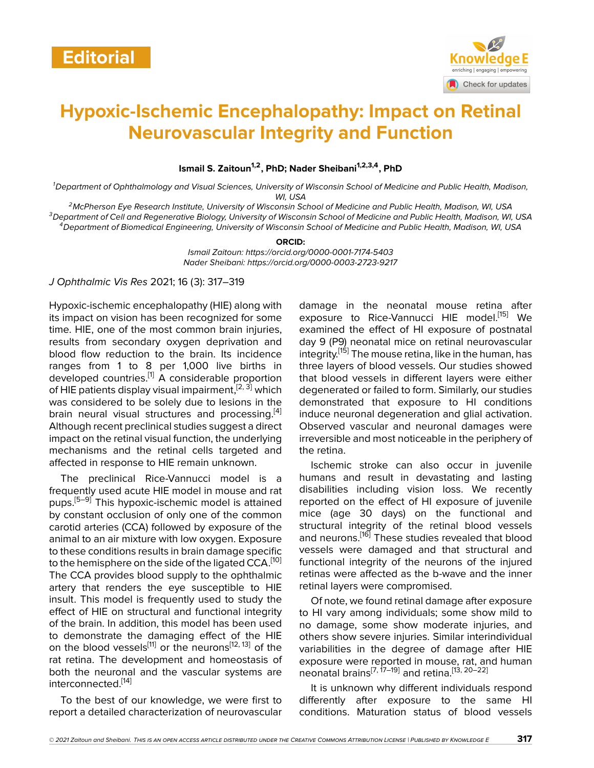

# **Hypoxic-Ischemic Encephalopathy: Impact on Retinal Neurovascular Integrity and Function**

**Ismail S. Zaitoun1,2, PhD; Nader Sheibani1,2,3,4, PhD**

*<sup>1</sup>Department of Ophthalmology and Visual Sciences, University of Wisconsin School of Medicine and Public Health, Madison, WI, USA*

*<sup>2</sup>McPherson Eye Research Institute, University of Wisconsin School of Medicine and Public Health, Madison, WI, USA <sup>3</sup>Department of Cell and Regenerative Biology, University of Wisconsin School of Medicine and Public Health, Madison, WI, USA <sup>4</sup>Department of Biomedical Engineering, University of Wisconsin School of Medicine and Public Health, Madison, WI, USA*

#### **ORCID:**

*Ismail Zaitoun: https://orcid.org/0000-0001-7174-5403 Nader Sheibani: https://orcid.org/0000-0003-2723-9217*

*J Ophthalmic Vis Res* 2021; 16 (3): 317–319

Hypoxic-ischemic encephalopathy (HIE) along with its impact on vision has been recognized for some time. HIE, one of the most common brain injuries, results from secondary oxygen deprivation and blood flow reduction to the brain. Its incidence ranges from 1 to 8 per 1,000 live births in developed countries.<sup>[\[1\]](#page-1-0)</sup> A considerable proportion of HIE patients display visual impairment,  $[2, 3]$  $[2, 3]$  $[2, 3]$  which was considered to be solely due to lesions in the brain neural visual structures and processing.<sup>[\[4](#page-1-3)]</sup> Although recent preclinical studies suggest a direct impact on the retinal visual function, the underlying mechanisms and the retinal cells targeted and affected in response to HIE remain unknown.

The preclinical Rice-Vannucci model is a frequently used acute HIE model in mouse and rat pups.[[5](#page-1-4)–[9](#page-2-0)] This hypoxic-ischemic model is attained by constant occlusion of only one of the common carotid arteries (CCA) followed by exposure of the animal to an air mixture with low oxygen. Exposure to these conditions results in brain damage specific to the hemisphere on the side of the ligated CCA.<sup>[\[10](#page-2-1)]</sup> The CCA provides blood supply to the ophthalmic artery that renders the eye susceptible to HIE insult. This model is frequently used to study the effect of HIE on structural and functional integrity of the brain. In addition, this model has been used to demonstrate the damaging effect of the HIE on the blood vessels<sup>[[11](#page-2-2)]</sup> or the neurons<sup>[[12,](#page-2-3) [13](#page-2-4)]</sup> of the rat retina. The development and homeostasis of both the neuronal and the vascular systems are interconnected.[[14\]](#page-2-5)

To the best of our knowledge, we were first to report a detailed characterization of neurovascular damage in the neonatal mouse retina after exposure to Rice-Vannucci HIE model.<sup>[\[15](#page-2-6)]</sup> We examined the effect of HI exposure of postnatal day 9 (P9) neonatal mice on retinal neurovascular integrity.[[15\]](#page-2-6) The mouse retina, like in the human, has three layers of blood vessels. Our studies showed that blood vessels in different layers were either degenerated or failed to form. Similarly, our studies demonstrated that exposure to HI conditions induce neuronal degeneration and glial activation. Observed vascular and neuronal damages were irreversible and most noticeable in the periphery of the retina.

Ischemic stroke can also occur in juvenile humans and result in devastating and lasting disabilities including vision loss. We recently reported on the effect of HI exposure of juvenile mice (age 30 days) on the functional and structural integrity of the retinal blood vessels and neurons.<sup>[\[16](#page-2-7)]</sup> These studies revealed that blood vessels were damaged and that structural and functional integrity of the neurons of the injured retinas were affected as the b-wave and the inner retinal layers were compromised.

Of note, we found retinal damage after exposure to HI vary among individuals; some show mild to no damage, some show moderate injuries, and others show severe injuries. Similar interindividual variabilities in the degree of damage after HIE exposure were reported in mouse, rat, and human neonatal brains<sup>[\[7](#page-1-5), [17–](#page-2-8)[19](#page-2-9)]</sup> and retina.<sup>[[13,](#page-2-4) [20–](#page-2-10)[22](#page-2-11)]</sup>

It is unknown why different individuals respond differently after exposure to the same HI conditions. Maturation status of blood vessels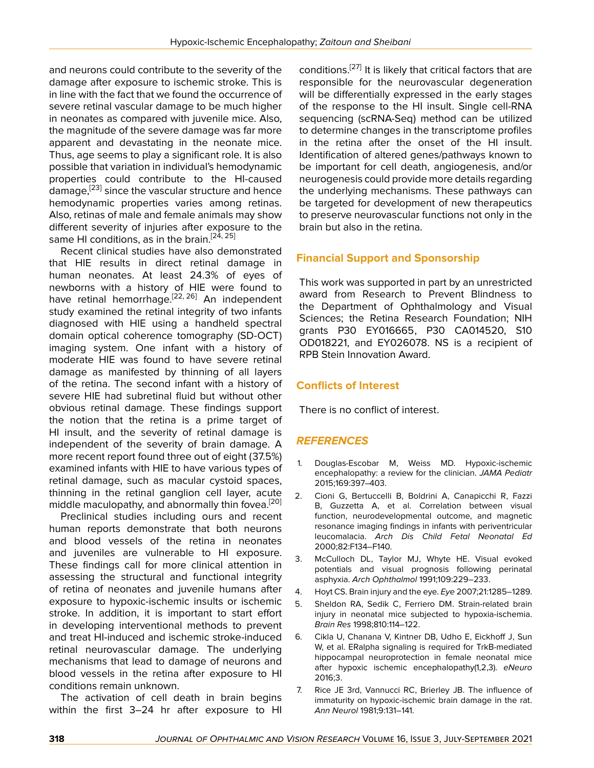and neurons could contribute to the severity of the damage after exposure to ischemic stroke. This is in line with the fact that we found the occurrence of severe retinal vascular damage to be much higher in neonates as compared with juvenile mice. Also, the magnitude of the severe damage was far more apparent and devastating in the neonate mice. Thus, age seems to play a significant role. It is also possible that variation in individual's hemodynamic properties could contribute to the HI-caused damage,<sup>[\[23\]](#page-2-12)</sup> since the vascular structure and hence hemodynamic properties varies among retinas. Also, retinas of male and female animals may show different severity of injuries after exposure to the same HI conditions, as in the brain.<sup>[\[24](#page-2-13), [25\]](#page-2-14)</sup>

Recent clinical studies have also demonstrated that HIE results in direct retinal damage in human neonates. At least 24.3% of eyes of newborns with a history of HIE were found to have retinal hemorrhage.<sup>[\[22](#page-2-11), [26](#page-2-15)]</sup> An independent study examined the retinal integrity of two infants diagnosed with HIE using a handheld spectral domain optical coherence tomography (SD-OCT) imaging system. One infant with a history of moderate HIE was found to have severe retinal damage as manifested by thinning of all layers of the retina. The second infant with a history of severe HIE had subretinal fluid but without other obvious retinal damage. These findings support the notion that the retina is a prime target of HI insult, and the severity of retinal damage is independent of the severity of brain damage. A more recent report found three out of eight (37.5%) examined infants with HIE to have various types of retinal damage, such as macular cystoid spaces, thinning in the retinal ganglion cell layer, acute middle maculopathy, and abnormally thin fovea.<sup>[\[20](#page-2-10)]</sup>

Preclinical studies including ours and recent human reports demonstrate that both neurons and blood vessels of the retina in neonates and juveniles are vulnerable to HI exposure. These findings call for more clinical attention in assessing the structural and functional integrity of retina of neonates and juvenile humans after exposure to hypoxic-ischemic insults or ischemic stroke. In addition, it is important to start effort in developing interventional methods to prevent and treat HI-induced and ischemic stroke-induced retinal neurovascular damage. The underlying mechanisms that lead to damage of neurons and blood vessels in the retina after exposure to HI conditions remain unknown.

The activation of cell death in brain begins within the first 3–24 hr after exposure to HI

conditions.<sup>[\[27\]](#page-2-16)</sup> It is likely that critical factors that are responsible for the neurovascular degeneration will be differentially expressed in the early stages of the response to the HI insult. Single cell-RNA sequencing (scRNA-Seq) method can be utilized to determine changes in the transcriptome profiles in the retina after the onset of the HI insult. Identification of altered genes/pathways known to be important for cell death, angiogenesis, and/or neurogenesis could provide more details regarding the underlying mechanisms. These pathways can be targeted for development of new therapeutics to preserve neurovascular functions not only in the brain but also in the retina.

## **Financial Support and Sponsorship**

This work was supported in part by an unrestricted award from Research to Prevent Blindness to the Department of Ophthalmology and Visual Sciences; the Retina Research Foundation; NIH grants P30 EY016665, P30 CA014520, S10 OD018221, and EY026078. NS is a recipient of RPB Stein Innovation Award.

### **Conflicts of Interest**

There is no conflict of interest.

## *REFERENCES*

- <span id="page-1-0"></span>1. Douglas-Escobar M, Weiss MD. Hypoxic-ischemic encephalopathy: a review for the clinician. *JAMA Pediatr* 2015;169:397–403.
- <span id="page-1-1"></span>2. Cioni G, Bertuccelli B, Boldrini A, Canapicchi R, Fazzi B, Guzzetta A, et al. Correlation between visual function, neurodevelopmental outcome, and magnetic resonance imaging findings in infants with periventricular leucomalacia. *Arch Dis Child Fetal Neonatal Ed* 2000;82:F134–F140.
- <span id="page-1-2"></span>3. McCulloch DL, Taylor MJ, Whyte HE. Visual evoked potentials and visual prognosis following perinatal asphyxia. *Arch Ophthalmol* 1991;109:229–233.
- <span id="page-1-3"></span>4. Hoyt CS. Brain injury and the eye. *Eye* 2007;21:1285–1289.
- <span id="page-1-4"></span>5. Sheldon RA, Sedik C, Ferriero DM. Strain-related brain injury in neonatal mice subjected to hypoxia-ischemia. *Brain Res* 1998;810:114–122.
- 6. Cikla U, Chanana V, Kintner DB, Udho E, Eickhoff J, Sun W, et al. ERalpha signaling is required for TrkB-mediated hippocampal neuroprotection in female neonatal mice after hypoxic ischemic encephalopathy(1,2,3). *eNeuro* 2016;3.
- <span id="page-1-5"></span>7. Rice JE 3rd, Vannucci RC, Brierley JB. The influence of immaturity on hypoxic-ischemic brain damage in the rat. *Ann Neurol* 1981;9:131–141.